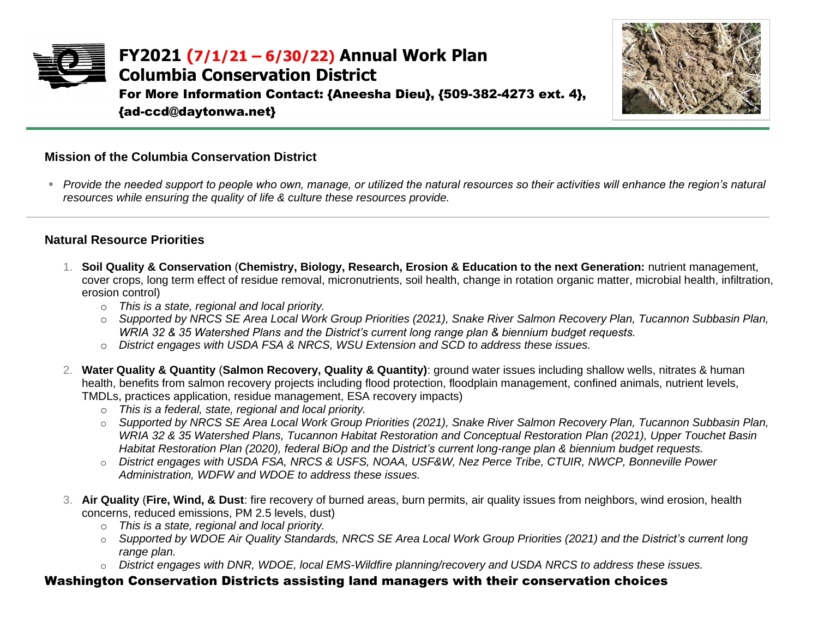



## **Mission of the Columbia Conservation District**

■ *Provide the needed support to people who own, manage, or utilized the natural resources so their activities will enhance the region's natural resources while ensuring the quality of life & culture these resources provide.*

## **Natural Resource Priorities**

- 1. **Soil Quality & Conservation** (**Chemistry, Biology, Research, Erosion & Education to the next Generation:** nutrient management, cover crops, long term effect of residue removal, micronutrients, soil health, change in rotation organic matter, microbial health, infiltration, erosion control)
	- o *This is a state, regional and local priority.*
	- o *Supported by NRCS SE Area Local Work Group Priorities (2021), Snake River Salmon Recovery Plan, Tucannon Subbasin Plan, WRIA 32 & 35 Watershed Plans and the District's current long range plan & biennium budget requests.*
	- o *District engages with USDA FSA & NRCS, WSU Extension and SCD to address these issues.*
- 2. **Water Quality & Quantity** (**Salmon Recovery, Quality & Quantity)**: ground water issues including shallow wells, nitrates & human health, benefits from salmon recovery projects including flood protection, floodplain management, confined animals, nutrient levels, TMDLs, practices application, residue management, ESA recovery impacts)
	- o *This is a federal, state, regional and local priority.*
	- o *Supported by NRCS SE Area Local Work Group Priorities (2021), Snake River Salmon Recovery Plan, Tucannon Subbasin Plan, WRIA 32 & 35 Watershed Plans, Tucannon Habitat Restoration and Conceptual Restoration Plan (2021), Upper Touchet Basin Habitat Restoration Plan (2020), federal BiOp and the District's current long-range plan & biennium budget requests.*
	- o *District engages with USDA FSA, NRCS & USFS, NOAA, USF&W, Nez Perce Tribe, CTUIR, NWCP, Bonneville Power Administration, WDFW and WDOE to address these issues.*
- 3. **Air Quality** (**Fire, Wind, & Dust**: fire recovery of burned areas, burn permits, air quality issues from neighbors, wind erosion, health concerns, reduced emissions, PM 2.5 levels, dust)
	- o *This is a state, regional and local priority.*
	- o *Supported by WDOE Air Quality Standards, NRCS SE Area Local Work Group Priorities (2021) and the District's current long range plan.*
	- o *District engages with DNR, WDOE, local EMS-Wildfire planning/recovery and USDA NRCS to address these issues.*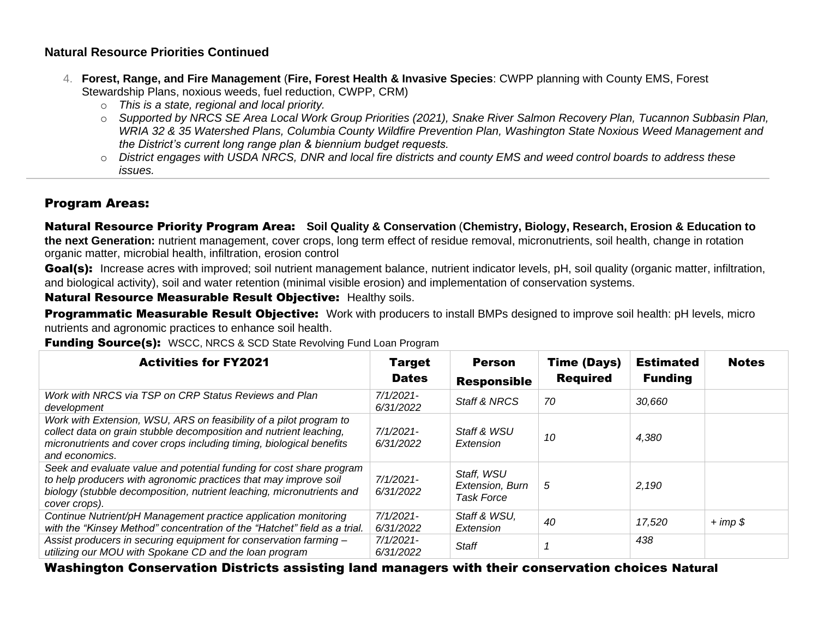## **Natural Resource Priorities Continued**

- 4. **Forest, Range, and Fire Management** (**Fire, Forest Health & Invasive Species**: CWPP planning with County EMS, Forest Stewardship Plans, noxious weeds, fuel reduction, CWPP, CRM)
	- o *This is a state, regional and local priority.*
	- o *Supported by NRCS SE Area Local Work Group Priorities (2021), Snake River Salmon Recovery Plan, Tucannon Subbasin Plan, WRIA 32 & 35 Watershed Plans, Columbia County Wildfire Prevention Plan, Washington State Noxious Weed Management and the District's current long range plan & biennium budget requests.*
	- o *District engages with USDA NRCS, DNR and local fire districts and county EMS and weed control boards to address these issues.*

## Program Areas:

Natural Resource Priority Program Area: **Soil Quality & Conservation** (**Chemistry, Biology, Research, Erosion & Education to the next Generation:** nutrient management, cover crops, long term effect of residue removal, micronutrients, soil health, change in rotation organic matter, microbial health, infiltration, erosion control

Goal(s): Increase acres with improved; soil nutrient management balance, nutrient indicator levels, pH, soil quality (organic matter, infiltration, and biological activity), soil and water retention (minimal visible erosion) and implementation of conservation systems.

Natural Resource Measurable Result Objective: Healthy soils.

Programmatic Measurable Result Objective: Work with producers to install BMPs designed to improve soil health: pH levels, micro nutrients and agronomic practices to enhance soil health.

**Funding Source(s):** WSCC, NRCS & SCD State Revolving Fund Loan Program

| <b>Activities for FY2021</b>                                                                                                                                                                                                       | <b>Target</b><br><b>Dates</b> | <b>Person</b><br><b>Responsible</b>         | <b>Time (Days)</b><br><b>Required</b> | <b>Estimated</b><br><b>Funding</b> | <b>Notes</b> |
|------------------------------------------------------------------------------------------------------------------------------------------------------------------------------------------------------------------------------------|-------------------------------|---------------------------------------------|---------------------------------------|------------------------------------|--------------|
| Work with NRCS via TSP on CRP Status Reviews and Plan<br>development                                                                                                                                                               | $7/1/2021$ -<br>6/31/2022     | Staff & NRCS                                | 70                                    | 30,660                             |              |
| Work with Extension, WSU, ARS on feasibility of a pilot program to<br>collect data on grain stubble decomposition and nutrient leaching,<br>micronutrients and cover crops including timing, biological benefits<br>and economics. | $7/1/2021$ -<br>6/31/2022     | Staff & WSU<br>Extension                    | 10                                    | 4,380                              |              |
| Seek and evaluate value and potential funding for cost share program<br>to help producers with agronomic practices that may improve soil<br>biology (stubble decomposition, nutrient leaching, micronutrients and<br>cover crops). | $7/1/2021$ -<br>6/31/2022     | Staff, WSU<br>Extension, Burn<br>Task Force | 5                                     | 2,190                              |              |
| Continue Nutrient/pH Management practice application monitoring<br>with the "Kinsey Method" concentration of the "Hatchet" field as a trial.                                                                                       | $7/1/2021$ -<br>6/31/2022     | Staff & WSU,<br>Extension                   | 40                                    | 17,520                             | $+ imp$ \$   |
| Assist producers in securing equipment for conservation farming -<br>utilizing our MOU with Spokane CD and the loan program                                                                                                        | $7/1/2021$ -<br>6/31/2022     | <b>Staff</b>                                |                                       | 438                                |              |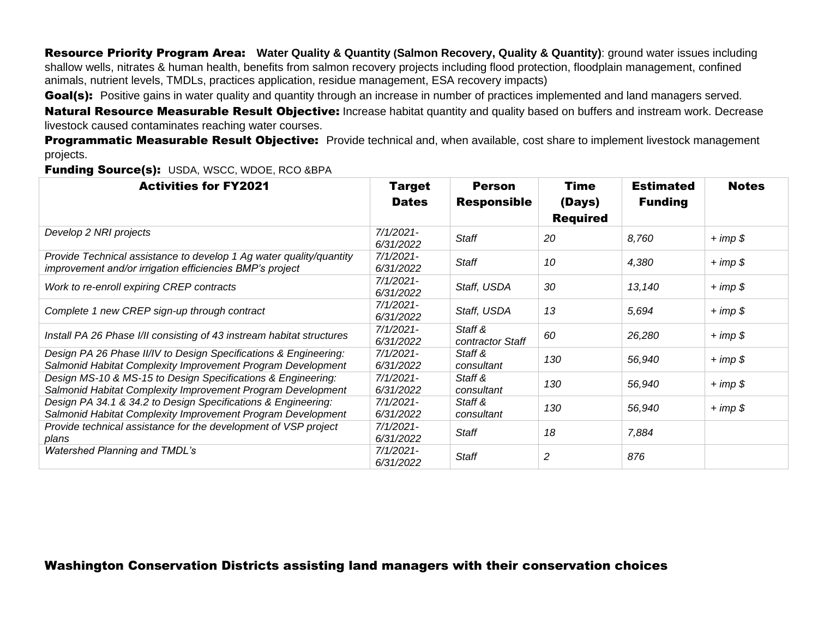Resource Priority Program Area: **Water Quality & Quantity (Salmon Recovery, Quality & Quantity)**: ground water issues including shallow wells, nitrates & human health, benefits from salmon recovery projects including flood protection, floodplain management, confined animals, nutrient levels, TMDLs, practices application, residue management, ESA recovery impacts)

Goal(s): Positive gains in water quality and quantity through an increase in number of practices implemented and land managers served.

Natural Resource Measurable Result Objective: Increase habitat quantity and quality based on buffers and instream work. Decrease livestock caused contaminates reaching water courses.

Programmatic Measurable Result Objective: Provide technical and, when available, cost share to implement livestock management projects.

Funding Source(s): USDA, WSCC, WDOE, RCO &BPA

| <b>Activities for FY2021</b>                                                                                                    | <b>Target</b>             | <b>Person</b>               | Time            | <b>Estimated</b> | <b>Notes</b> |
|---------------------------------------------------------------------------------------------------------------------------------|---------------------------|-----------------------------|-----------------|------------------|--------------|
|                                                                                                                                 | <b>Dates</b>              | <b>Responsible</b>          | (Days)          | <b>Funding</b>   |              |
|                                                                                                                                 |                           |                             | <b>Required</b> |                  |              |
| Develop 2 NRI projects                                                                                                          | $7/1/2021 -$<br>6/31/2022 | <b>Staff</b>                | 20              | 8,760            | $+ imp $$    |
| Provide Technical assistance to develop 1 Ag water quality/quantity<br>improvement and/or irrigation efficiencies BMP's project | $7/1/2021$ -<br>6/31/2022 | <b>Staff</b>                | 10              | 4,380            | $+ imp $$    |
| Work to re-enroll expiring CREP contracts                                                                                       | 7/1/2021-<br>6/31/2022    | Staff, USDA                 | 30              | 13,140           | $+ imp $$    |
| Complete 1 new CREP sign-up through contract                                                                                    | 7/1/2021-<br>6/31/2022    | Staff, USDA                 | 13              | 5,694            | $+ imp $$    |
| Install PA 26 Phase I/II consisting of 43 instream habitat structures                                                           | $7/1/2021$ -<br>6/31/2022 | Staff &<br>contractor Staff | 60              | 26,280           | $+ imp $$    |
| Design PA 26 Phase II/IV to Design Specifications & Engineering:<br>Salmonid Habitat Complexity Improvement Program Development | $7/1/2021$ -<br>6/31/2022 | Staff &<br>consultant       | 130             | 56,940           | $+ imp$ \$   |
| Design MS-10 & MS-15 to Design Specifications & Engineering:<br>Salmonid Habitat Complexity Improvement Program Development     | $7/1/2021$ -<br>6/31/2022 | Staff &<br>consultant       | 130             | 56,940           | $+ imp $$    |
| Design PA 34.1 & 34.2 to Design Specifications & Engineering:<br>Salmonid Habitat Complexity Improvement Program Development    | $7/1/2021$ -<br>6/31/2022 | Staff &<br>consultant       | 130             | 56,940           | $+ imp $$    |
| Provide technical assistance for the development of VSP project<br>plans                                                        | $7/1/2021$ -<br>6/31/2022 | <b>Staff</b>                | 18              | 7,884            |              |
| <b>Watershed Planning and TMDL's</b>                                                                                            | 7/1/2021-<br>6/31/2022    | <b>Staff</b>                | 2               | 876              |              |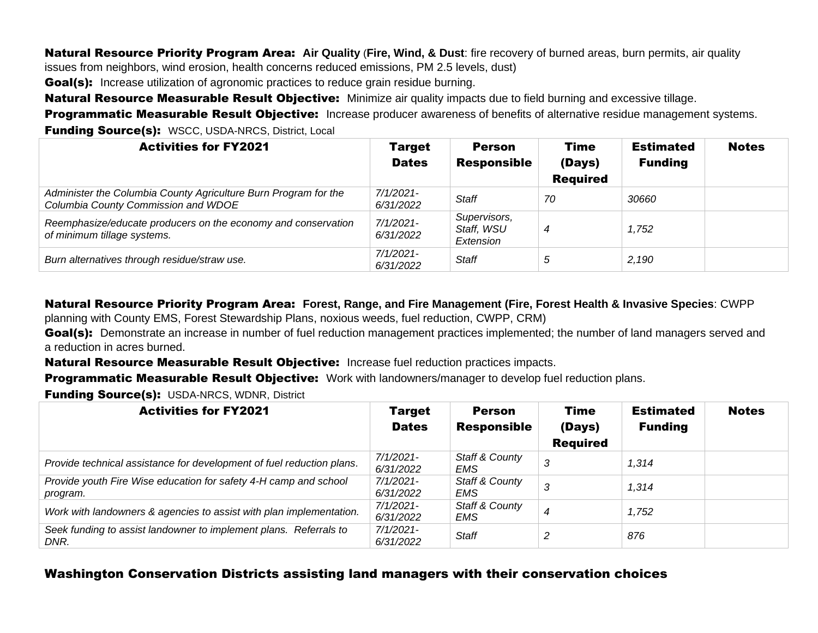Natural Resource Priority Program Area: **Air Quality** (**Fire, Wind, & Dust**: fire recovery of burned areas, burn permits, air quality issues from neighbors, wind erosion, health concerns reduced emissions, PM 2.5 levels, dust)

**Goal(s):** Increase utilization of agronomic practices to reduce grain residue burning.

Natural Resource Measurable Result Objective: Minimize air quality impacts due to field burning and excessive tillage.

Programmatic Measurable Result Objective: Increase producer awareness of benefits of alternative residue management systems. **Funding Source(s):** WSCC, USDA-NRCS, District, Local

| <b>Activities for FY2021</b>                                                                           | <b>Target</b><br><b>Dates</b> | <b>Person</b><br><b>Responsible</b>     | Time<br>(Days)<br><b>Required</b> | <b>Estimated</b><br><b>Funding</b> | <b>Notes</b> |
|--------------------------------------------------------------------------------------------------------|-------------------------------|-----------------------------------------|-----------------------------------|------------------------------------|--------------|
| Administer the Columbia County Agriculture Burn Program for the<br>Columbia County Commission and WDOE | 7/1/2021-<br>6/31/2022        | <b>Staff</b>                            | 70                                | 30660                              |              |
| Reemphasize/educate producers on the economy and conservation<br>of minimum tillage systems.           | 7/1/2021-<br>6/31/2022        | Supervisors,<br>Staff, WSU<br>Extension | 4                                 | 1,752                              |              |
| Burn alternatives through residue/straw use.                                                           | 7/1/2021-<br>6/31/2022        | <b>Staff</b>                            | 5                                 | 2,190                              |              |

Natural Resource Priority Program Area: **Forest, Range, and Fire Management (Fire, Forest Health & Invasive Species**: CWPP

planning with County EMS, Forest Stewardship Plans, noxious weeds, fuel reduction, CWPP, CRM)

Goal(s): Demonstrate an increase in number of fuel reduction management practices implemented; the number of land managers served and a reduction in acres burned.

Natural Resource Measurable Result Objective: Increase fuel reduction practices impacts.

**Programmatic Measurable Result Objective:** Work with landowners/manager to develop fuel reduction plans.

**Funding Source(s): USDA-NRCS, WDNR, District** 

| <b>Activities for FY2021</b>                                                 | <b>Target</b><br><b>Dates</b> | <b>Person</b><br><b>Responsible</b> | <b>Time</b><br>(Days)<br><b>Required</b> | <b>Estimated</b><br><b>Funding</b> | <b>Notes</b> |
|------------------------------------------------------------------------------|-------------------------------|-------------------------------------|------------------------------------------|------------------------------------|--------------|
| Provide technical assistance for development of fuel reduction plans.        | 7/1/2021-<br>6/31/2022        | <b>Staff &amp; County</b><br>EMS    | 3                                        | 1.314                              |              |
| Provide youth Fire Wise education for safety 4-H camp and school<br>program. | 7/1/2021-<br>6/31/2022        | Staff & County<br>EMS               | 3                                        | 1,314                              |              |
| Work with landowners & agencies to assist with plan implementation.          | 7/1/2021-<br>6/31/2022        | Staff & County<br>EMS               | $\boldsymbol{4}$                         | 1,752                              |              |
| Seek funding to assist landowner to implement plans. Referrals to<br>DNR.    | 7/1/2021-<br>6/31/2022        | <b>Staff</b>                        | 2                                        | 876                                |              |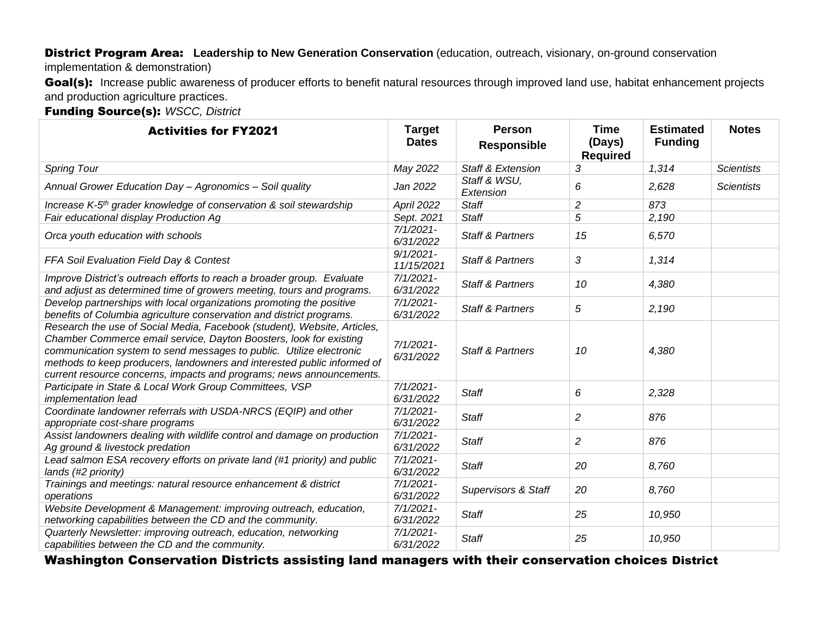#### District Program Area: **Leadership to New Generation Conservation** (education, outreach, visionary, on-ground conservation

implementation & demonstration)

Goal(s): Increase public awareness of producer efforts to benefit natural resources through improved land use, habitat enhancement projects and production agriculture practices.

Funding Source(s): *WSCC, District*

| <b>Activities for FY2021</b>                                                                                                                                                                                                                                                                                                                                             | <b>Target</b><br><b>Dates</b> | <b>Person</b><br><b>Responsible</b> | <b>Time</b><br>(Days)<br><b>Required</b> | <b>Estimated</b><br><b>Funding</b> | <b>Notes</b>      |
|--------------------------------------------------------------------------------------------------------------------------------------------------------------------------------------------------------------------------------------------------------------------------------------------------------------------------------------------------------------------------|-------------------------------|-------------------------------------|------------------------------------------|------------------------------------|-------------------|
| <b>Spring Tour</b>                                                                                                                                                                                                                                                                                                                                                       | May 2022                      | <b>Staff &amp; Extension</b>        | 3                                        | 1,314                              | <b>Scientists</b> |
| Annual Grower Education Day - Agronomics - Soil quality                                                                                                                                                                                                                                                                                                                  | Jan 2022                      | Staff & WSU,<br>Extension           | 6                                        | 2,628                              | <b>Scientists</b> |
| Increase K-5 <sup>th</sup> grader knowledge of conservation & soil stewardship                                                                                                                                                                                                                                                                                           | April 2022                    | <b>Staff</b>                        | $\overline{c}$                           | 873                                |                   |
| Fair educational display Production Ag                                                                                                                                                                                                                                                                                                                                   | Sept. 2021                    | <b>Staff</b>                        | 5                                        | 2,190                              |                   |
| Orca youth education with schools                                                                                                                                                                                                                                                                                                                                        | $7/1/2021 -$<br>6/31/2022     | <b>Staff &amp; Partners</b>         | 15                                       | 6,570                              |                   |
| FFA Soil Evaluation Field Day & Contest                                                                                                                                                                                                                                                                                                                                  | $9/1/2021 -$<br>11/15/2021    | <b>Staff &amp; Partners</b>         | 3                                        | 1,314                              |                   |
| Improve District's outreach efforts to reach a broader group. Evaluate<br>and adjust as determined time of growers meeting, tours and programs.                                                                                                                                                                                                                          | $7/1/2021$ -<br>6/31/2022     | <b>Staff &amp; Partners</b>         | 10                                       | 4,380                              |                   |
| Develop partnerships with local organizations promoting the positive<br>benefits of Columbia agriculture conservation and district programs.                                                                                                                                                                                                                             | $7/1/2021 -$<br>6/31/2022     | <b>Staff &amp; Partners</b>         | 5                                        | 2,190                              |                   |
| Research the use of Social Media, Facebook (student), Website, Articles,<br>Chamber Commerce email service, Dayton Boosters, look for existing<br>communication system to send messages to public. Utilize electronic<br>methods to keep producers, landowners and interested public informed of<br>current resource concerns, impacts and programs; news announcements. | $7/1/2021$ -<br>6/31/2022     | <b>Staff &amp; Partners</b>         | 10                                       | 4,380                              |                   |
| Participate in State & Local Work Group Committees, VSP<br>implementation lead                                                                                                                                                                                                                                                                                           | $7/1/2021$ -<br>6/31/2022     | <b>Staff</b>                        | 6                                        | 2,328                              |                   |
| Coordinate landowner referrals with USDA-NRCS (EQIP) and other<br>appropriate cost-share programs                                                                                                                                                                                                                                                                        | $7/1/2021 -$<br>6/31/2022     | <b>Staff</b>                        | 2                                        | 876                                |                   |
| Assist landowners dealing with wildlife control and damage on production<br>Ag ground & livestock predation                                                                                                                                                                                                                                                              | $7/1/2021$ -<br>6/31/2022     | <b>Staff</b>                        | 2                                        | 876                                |                   |
| Lead salmon ESA recovery efforts on private land (#1 priority) and public<br>lands (#2 priority)                                                                                                                                                                                                                                                                         | $7/1/2021 -$<br>6/31/2022     | <b>Staff</b>                        | 20                                       | 8,760                              |                   |
| Trainings and meetings: natural resource enhancement & district<br>operations                                                                                                                                                                                                                                                                                            | $7/1/2021$ -<br>6/31/2022     | <b>Supervisors &amp; Staff</b>      | 20                                       | 8,760                              |                   |
| Website Development & Management: improving outreach, education,<br>networking capabilities between the CD and the community.                                                                                                                                                                                                                                            | $7/1/2021$ -<br>6/31/2022     | <b>Staff</b>                        | 25                                       | 10,950                             |                   |
| Quarterly Newsletter: improving outreach, education, networking<br>capabilities between the CD and the community.                                                                                                                                                                                                                                                        | $7/1/2021 -$<br>6/31/2022     | <b>Staff</b>                        | 25                                       | 10,950                             |                   |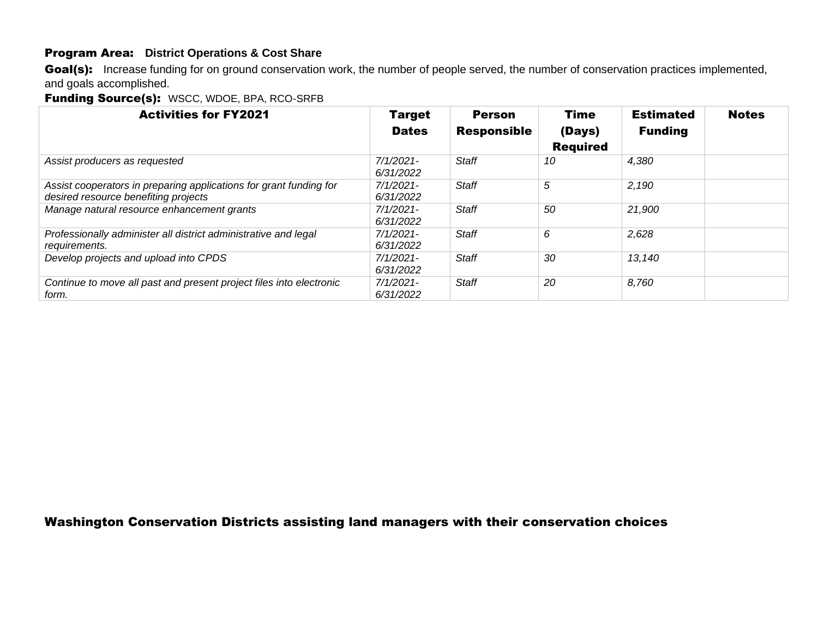## Program Area: **District Operations & Cost Share**

Goal(s): Increase funding for on ground conservation work, the number of people served, the number of conservation practices implemented, and goals accomplished.

Funding Source(s): WSCC, WDOE, BPA, RCO-SRFB

| <b>Activities for FY2021</b>                                                                               | <b>Target</b><br><b>Dates</b> | <b>Person</b><br><b>Responsible</b> | <b>Time</b><br>(Days)<br><b>Required</b> | <b>Estimated</b><br><b>Funding</b> | <b>Notes</b> |
|------------------------------------------------------------------------------------------------------------|-------------------------------|-------------------------------------|------------------------------------------|------------------------------------|--------------|
| Assist producers as requested                                                                              | $7/1/2021$ -<br>6/31/2022     | <b>Staff</b>                        | 10                                       | 4,380                              |              |
| Assist cooperators in preparing applications for grant funding for<br>desired resource benefiting projects | $7/1/2021$ -<br>6/31/2022     | <b>Staff</b>                        | 5                                        | 2,190                              |              |
| Manage natural resource enhancement grants                                                                 | $7/1/2021$ -<br>6/31/2022     | <b>Staff</b>                        | 50                                       | 21,900                             |              |
| Professionally administer all district administrative and legal<br>requirements.                           | $7/1/2021$ -<br>6/31/2022     | Staff                               | 6                                        | 2,628                              |              |
| Develop projects and upload into CPDS                                                                      | $7/1/2021$ -<br>6/31/2022     | Staff                               | 30                                       | 13,140                             |              |
| Continue to move all past and present project files into electronic<br>form.                               | $7/1/2021$ -<br>6/31/2022     | Staff                               | 20                                       | 8.760                              |              |